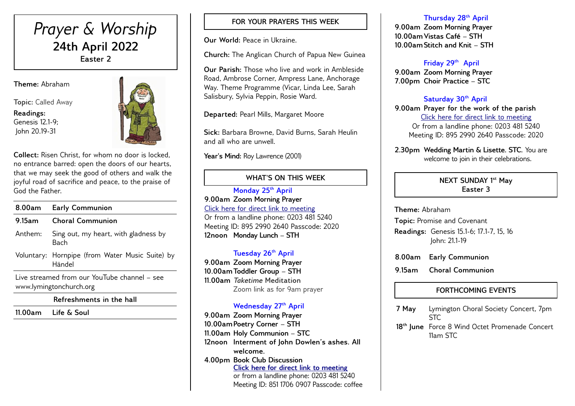# *Prayer & Worship* **24th April 2022 Easter 2**

**Theme:** Abraham

**Topic:** Called Away

**Readings:** Genesis 12.1-9; John 20.19-31



**Collect:** Risen Christ, for whom no door is locked, no entrance barred: open the doors of our hearts, that we may seek the good of others and walk the joyful road of sacrifice and peace, to the praise of God the Father.

| 8.00am                                                                  | <b>Early Communion</b>                                    |
|-------------------------------------------------------------------------|-----------------------------------------------------------|
| 9.15am                                                                  | <b>Choral Communion</b>                                   |
| Anthem:                                                                 | Sing out, my heart, with gladness by<br>Bach              |
|                                                                         | Voluntary: Hornpipe (from Water Music Suite) by<br>Händel |
| Live streamed from our YouTube channel - see<br>www.lymingtonchurch.org |                                                           |

**Refreshments in the hall**

**11.00am Life & Soul** 

## **FOR YOUR PRAYERS THIS WEEK**

**Our World:** Peace in Ukraine.

**Church:** The Anglican Church of Papua New Guinea

**Our Parish:** Those who live and work in Ambleside Road, Ambrose Corner, Ampress Lane, Anchorage Way. Theme Programme (Vicar, Linda Lee, Sarah Salisbury, Sylvia Peppin, Rosie Ward.

**Departed:** Pearl Mills, Margaret Moore

**Sick:** Barbara Browne, David Burns, Sarah Heulin and all who are unwell.

Year's Mind: Roy Lawrence (2001)

### **WHAT'S ON THIS WEEK**

**Monday 25th April 9.00am Zoom Morning Prayer** [Click here for direct link to meeting](https://us02web.zoom.us/j/89529902640?pwd=QVQxTGxjODdwV3ROT1gxM2NWUjN0dz09) Or from a landline phone: 0203 481 5240 Meeting ID: 895 2990 2640 Passcode: 2020 **12noon Monday Lunch – STH** 

#### **Tuesday 26th April**

**9.00am Zoom Morning Prayer 10.00amToddler Group – STH 11.00am** *Taketime* **Meditation**  Zoom link as for 9am prayer

### **Wednesday 27th April**

**9.00am Zoom Morning Prayer 10.00amPoetry Corner – STH 11.00am Holy Communion – STC 12noon Interment of John Dowlen's ashes. All welcome. 4.00pm Book Club Discussion** *Click here for direct link to meeting* or from a landline phone: 0203 481 5240 Meeting ID: 851 1706 0907 Passcode: coffee

#### **Thursday 28th April**

**9.00am Zoom Morning Prayer 10.00amVistas Café – STH 10.00amStitch and Knit – STH** 

## **Friday 29th April**

**9.00am Zoom Morning Prayer 7.00pm Choir Practice – STC** 

#### **Saturday 30th April**

**9.00am Prayer for the work of the parish** [Click here for direct link to meeting](https://us02web.zoom.us/j/89529902640?pwd=QVQxTGxjODdwV3ROT1gxM2NWUjN0dz09) Or from a landline phone: 0203 481 5240 Meeting ID: 895 2990 2640 Passcode: 2020

**2.30pm Wedding Martin & Lisette. STC.** You are welcome to join in their celebrations.

#### **NEXT SUNDAY 1 st May Easter 3**

**Theme:** Abraham

**Topic:** Promise and Covenant **Readings:** Genesis 15.1-6; 17.1-7, 15, 16 John: 21.1-19

**8.00am Early Communion**

**9.15am Choral Communion** 

# **FORTHCOMING EVENTS**

**7 May** Lymington Choral Society Concert, 7pm ST<sub>C</sub> **18th June** Force 8 Wind Octet Promenade Concert 11am STC